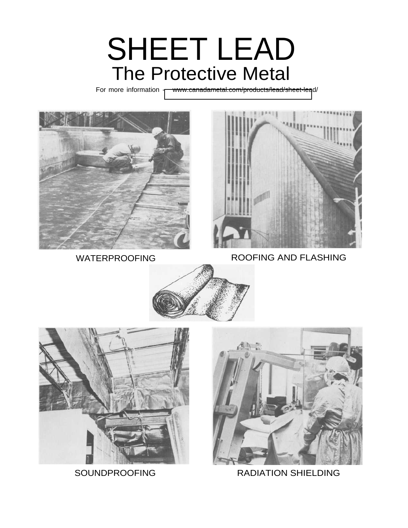# SHEET LEAD The Protective Metal

For more information - [www.canadametal.com/products/lead/sheet-lea](http://www.canadametal.com/products/lead/sheet-lead/ )d/





WATERPROOFING ROOFING AND FLASHING







SOUNDPROOFING RADIATION SHIELDING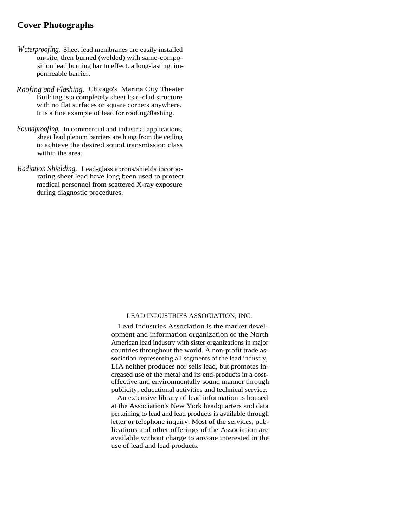### **Cover Photographs**

- *Waterproofing.* Sheet lead membranes are easily installed on-site, then burned (welded) with same-composition lead burning bar to effect. a long-lasting, impermeable barrier.
- *Roofing and Flashing.* Chicago's Marina City Theater Building is a completely sheet lead-clad structure with no flat surfaces or square corners anywhere. It is a fine example of lead for roofing/flashing.
- *Soundproofing.* In commercial and industrial applications, sheet lead plenum barriers are hung from the ceiling to achieve the desired sound transmission class within the area.
- *Radiation Shielding.* Lead-glass aprons/shields incorporating sheet lead have long been used to protect medical personnel from scattered X-ray exposure during diagnostic procedures.

#### LEAD INDUSTRIES ASSOCIATION, INC.

Lead Industries Association is the market development and information organization of the North American lead industry with sister organizations in major countries throughout the world. A non-profit trade association representing all segments of the lead industry, LIA neither produces nor sells lead, but promotes increased use of the metal and its end-products in a costeffective and environmentally sound manner through publicity, educational activities and technical service.

An extensive library of lead information is housed at the Association's New York headquarters and data pertaining to lead and lead products is available through letter or telephone inquiry. Most of the services, publications and other offerings of the Association are available without charge to anyone interested in the use of lead and lead products.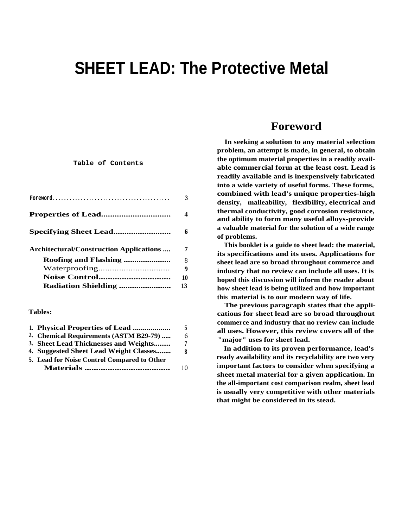# **SHEET LEAD: The Protective Metal**

#### **Table of Contents**

| <b>Specifying Sheet Lead</b><br>Architectural/Construction Applications<br><b>Radiation Shielding </b> | $\texttt{Foreword.}\dots\dots\dots\dots\dots\dots\dots\dots\dots\dots\dots\dots\dots$ | 3  |
|--------------------------------------------------------------------------------------------------------|---------------------------------------------------------------------------------------|----|
|                                                                                                        |                                                                                       | 4  |
|                                                                                                        |                                                                                       | 6  |
|                                                                                                        |                                                                                       | 7  |
|                                                                                                        |                                                                                       | 8  |
|                                                                                                        |                                                                                       | 9  |
|                                                                                                        |                                                                                       | 10 |
|                                                                                                        |                                                                                       | 13 |

#### **Tables:**

|                                             | 5         |
|---------------------------------------------|-----------|
| 2. Chemical Requirements (ASTM B29-79)      | 6         |
| 3. Sheet Lead Thicknesses and Weights       | 7         |
| 4. Suggested Sheet Lead Weight Classes      | 8         |
| 5. Lead for Noise Control Compared to Other |           |
|                                             | $1\Omega$ |

# **Foreword**

**In seeking a solution to any material selection problem, an attempt is made, in general, to obtain the optimum material properties in a readily available commercial form at the least cost. Lead is readily available and is inexpensively fabricated into a wide variety of useful forms. These forms, combined with lead's unique properties-high density, malleability, flexibility, electrical and thermal conductivity, good corrosion resistance, and ability to form many useful alloys-provide a valuable material for the solution of a wide range of problems.**

**This booklet is a guide to sheet lead: the material, its specifications and its uses. Applications for sheet lead are so broad throughout commerce and industry that no review can include all uses. It is hoped this discussion will inform the reader about how sheet lead is being utilized and how important this material is to our modern way of life.**

**The previous paragraph states that the applications for sheet lead are so broad throughout commerce and industry that no review can include all uses. However, this review covers all of the "major" uses for sheet lead.**

**In addition to its proven performance, lead's ready availability and its recyclability are two very important factors to consider when specifying a sheet metal material for a given application. In the all-important cost comparison realm, sheet lead is usually very competitive with other materials that might be considered in its stead.**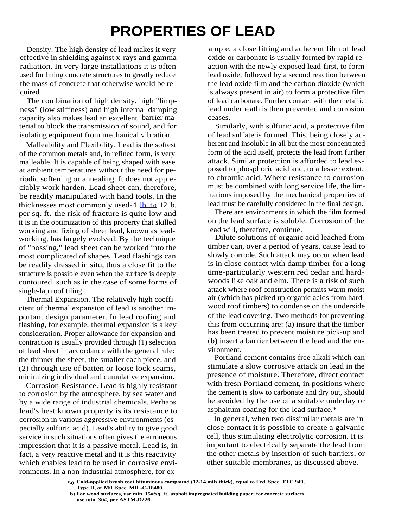# **PROPERTIES OF LEAD**

Density. The high density of lead makes it very effective in shielding against x-rays and gamma radiation. In very large installations it is often used for lining concrete structures to greatly reduce the mass of concrete that otherwise would be required.

The combination of high density, high "limpness" (low stiffness) and high internal damping capacity also makes lead an excellent barrier material to block the transmission of sound, and for isolating equipment from mechanical vibration.

Malleability and Flexibility. Lead is the softest of the common metals and, in refined form, is very malleable. It is capable of being shaped with ease at ambient temperatures without the need for periodic softening or annealing. It does not appreciably work harden. Lead sheet can, therefore, be readily manipulated with hand tools. In the thicknesses most commonly used-4  $\underline{\mathbf{lb} \cdot \mathbf{to}}$  12 lb. per sq. ft.-the risk of fracture is quite low and it is in the optimization of this property that skilled working and fixing of sheet lead, known as leadworking, has largely evolved. By the technique of "bossing," lead sheet can be worked into the most complicated of shapes. Lead flashings can be readily dressed in situ, thus a close fit to the structure is possible even when the surface is deeply contoured, such as in the case of some forms of single-lap roof tiling.

Thermal Expansion. The relatively high coefficient of thermal expansion of lead is another important design parameter. In lead roofing and flashing, for example, thermal expansion is a key consideration. Proper allowance for expansion and contraction is usually provided through (1) selection of lead sheet in accordance with the general rule: the thinner the sheet, the smaller each piece, and (2) through use of batten or loose lock seams, minimizing individual and cumulative expansion.

Corrosion Resistance. Lead is highly resistant to corrosion by the atmosphere, by sea water and by a wide range of industrial chemicals. Perhaps lead's best known property is its resistance to corrosion in various aggressive environments (especially sulfuric acid). Lead's ability to give good service in such situations often gives the erroneous impression that it is a passive metal. Lead is, in fact, a very reactive metal and it is this reactivity which enables lead to be used in corrosive environments. In a non-industrial atmosphere, for ex-

ample, a close fitting and adherent film of lead oxide or carbonate is usually formed by rapid reaction with the newly exposed lead-first, to form lead oxide, followed by a second reaction between the lead oxide film and the carbon dioxide (which is always present in air) to form a protective film of lead carbonate. Further contact with the metallic lead underneath is then prevented and corrosion ceases.

Similarly, with sulfuric acid, a protective film of lead sulfate is formed. This, being closely adherent and insoluble in all but the most concentrated form of the acid itself, protects the lead from further attack. Similar protection is afforded to lead exposed to phosphoric acid and, to a lesser extent, to chromic acid. Where resistance to corrosion must be combined with long service life, the limitations imposed by the mechanical properties of lead must be carefully considered in the final design.

There are environments in which the film formed on the lead surface is soluble. Corrosion of the lead will, therefore, continue.

Dilute solutions of organic acid leached from timber can, over a period of years, cause lead to slowly corrode. Such attack may occur when lead is in close contact with damp timber for a long time-particularly western red cedar and hardwoods like oak and elm. There is a risk of such attack where roof construction permits warm moist air (which has picked up organic acids from hardwood roof timbers) to condense on the underside of the lead covering. Two methods for preventing this from occurring are: (a) insure that the timber has been treated to prevent moisture pick-up and (b) insert a barrier between the lead and the environment.

Portland cement contains free alkali which can stimulate a slow corrosive attack on lead in the presence of moisture. Therefore, direct contact with fresh Portland cement, in positions where the cement is slow to carbonate and dry out, should be avoided by the use of a suitable underlay or asphaltum coating for the lead surface.\*

In general, when two dissimilar metals are in close contact it is possible to create a galvanic cell, thus stimulating electrolytic corrosion. It is important to electrically separate the lead from the other metals by insertion of such barriers, or other suitable membranes, as discussed above.

**<sup>\*</sup>a) Cold-applied brush coat bituminous compound (12-14 mils thick), equal to Fed. Spec. TTC 949, Type II, or Mil. Spec. MIL-C-18480.**

**b) For wood surfaces, use min. 15#/sq.** ft. **asphalt impregnated building paper; for concrete surfaces, use min. 30#, per ASTM-D226.**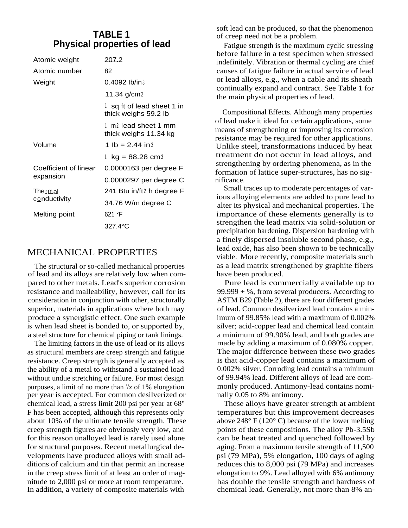### **TABLE 1 Physical properties of lead**

| Atomic weight         | 207.2                                            |
|-----------------------|--------------------------------------------------|
| Atomic number         | 82                                               |
| Weight                | $0.4092$ lb/in $3$                               |
|                       | 11.34 g/cm2                                      |
|                       | sq ft of lead sheet 1 in<br>thick weighs 59.2 lb |
|                       | 1 m2 lead sheet 1 mm<br>thick weighs 11.34 kg    |
| Volume                | 1 lb = $2.44$ in 3                               |
|                       | 1 $kg = 88.28$ cm 3                              |
| Coefficient of linear | 0.0000163 per degree F                           |
| expansion             | 0.0000297 per degree C                           |
| Thermal               | 241 Btu in/ft2 h degree F                        |
| conductivity          | 34.76 W/m degree C                               |
| Melting point         | 621 °F                                           |
|                       | 327.4°C                                          |

# MECHANICAL PROPERTIES

The structural or so-called mechanical properties of lead and its alloys are relatively low when compared to other metals. Lead's superior corrosion resistance and malleability, however, call for its consideration in conjunction with other, structurally superior, materials in applications where both may produce a synergistic effect. One such example is when lead sheet is bonded to, or supported by, a steel structure for chemical piping or tank linings.

The limiting factors in the use of lead or its alloys as structural members are creep strength and fatigue resistance. Creep strength is generally accepted as the ability of a metal to withstand a sustained load without undue stretching or failure. For most design purposes, a limit of no more than '/z of 1% elongation per year is accepted. For common desilverized or chemical lead, a stress limit 200 psi per year at 68° F has been accepted, although this represents only about 10% of the ultimate tensile strength. These creep strength figures are obviously very low, and for this reason unalloyed lead is rarely used alone for structural purposes. Recent metallurgical developments have produced alloys with small additions of calcium and tin that permit an increase in the creep stress limit of at least an order of magnitude to 2,000 psi or more at room temperature. In addition, a variety of composite materials with

soft lead can be produced, so that the phenomenon of creep need not be a problem.

Fatigue strength is the maximum cyclic stressing before failure in a test specimen when stressed indefinitely. Vibration or thermal cycling are chief causes of fatigue failure in actual service of lead or lead alloys, e.g., when a cable and its sheath continually expand and contract. See Table 1 for the main physical properties of lead.

Compositional Effects. Although many properties of lead make it ideal for certain applications, some means of strengthening or improving its corrosion resistance may be required for other applications. Unlike steel, transformations induced by heat treatment do not occur in lead alloys, and strengthening by ordering phenomena, as in the formation of lattice super-structures, has no significance.

Small traces up to moderate percentages of various alloying elements are added to pure lead to alter its physical and mechanical properties. The importance of these elements generally is to strengthen the lead matrix via solid-solution or precipitation hardening. Dispersion hardening with a finely dispersed insoluble second phase, e.g., lead oxide, has also been shown to be technically viable. More recently, composite materials such as a lead matrix strengthened by graphite fibers have been produced.

Pure lead is commercially available up to  $99.999 + %$ , from several producers. According to ASTM B29 (Table 2), there are four different grades of lead. Common desilverized lead contains a minimum of 99.85% lead with a maximum of 0.002% silver; acid-copper lead and chemical lead contain a minimum of 99.90% lead, and both grades are made by adding a maximum of 0.080% copper. The major difference between these two grades is that acid-copper lead contains a maximum of 0.002% silver. Corroding lead contains a minimum of 99.94% lead. Different alloys of lead are commonly produced. Antimony-lead contains nominally 0.05 to 8% antimony.

These alloys have greater strength at ambient temperatures but this improvement decreases above  $248^{\circ}$  F (120° C) because of the lower melting points of these compositions. The alloy Pb-3.5Sb can be heat treated and quenched followed by aging. From a maximum tensile strength of 11,500 psi (79 MPa), 5% elongation, 100 days of aging reduces this to 8,000 psi (79 MPa) and increases elongation to 9%. Lead alloyed with 6% antimony has double the tensile strength and hardness of chemical lead. Generally, not more than 8% an-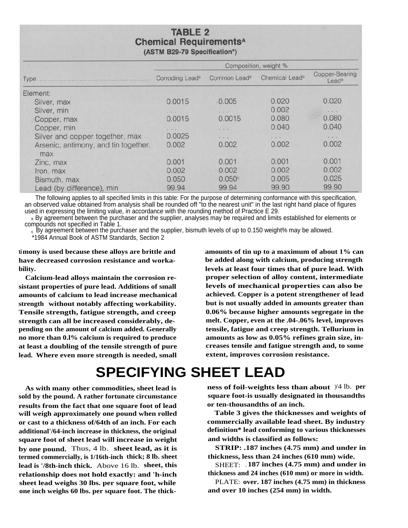### **TABLE 2 Chemical Requirements<sup>A</sup>** (ASTM B29-79 Specification\*)

|                                             | Composition, weight %       |                          |                            |                                     |
|---------------------------------------------|-----------------------------|--------------------------|----------------------------|-------------------------------------|
| Type                                        | Corroding Lead <sup>®</sup> | Common Lead <sup>®</sup> | Chemical Lead <sup>8</sup> | Copper-Bearing<br>Lead <sup>®</sup> |
| Element:                                    |                             |                          |                            |                                     |
| Silver, max                                 | 0.0015                      | .0.005                   | 0.020                      | 0.020                               |
| Silver, min                                 | 4. 41.14                    | $8 - 8 - 8$              | 0.002                      | 1.4.4                               |
| Copper, max                                 | 0.0015                      | 0.0015                   | 0.080                      | 0.080                               |
| Copper, min                                 | $A = A \cup A$              | $-1 - 1$                 | 0.040                      | 0.040                               |
| Silver and copper together, max             | 0.0025                      | $x - x - x$              | $7.14 - 7.$                | $\sqrt{1 + \frac{1}{2}}$            |
| Arsenic, antimony, and tin together,<br>max | 0.002                       | 0.002                    | 0.002                      | 0.002                               |
| Zinc, max                                   | 0.001                       | 0.001                    | 0.001                      | 0.001                               |
| Iron, max                                   | 0.002                       | 0.002                    | 0.002                      | 0.002                               |
| Bismuth, max                                | 0.050                       | 0.050c                   | 0.005                      | 0.025                               |
| Lead (by difference), min                   | 99.94                       | 99.94                    | 99.90                      | 99.90                               |

The following applies to all specified limits in this table: For the purpose of determining conformance with this specification, an observed value obtained from analysis shall be rounded off "to the nearest unit" in the last right hand place of figures used in expressing the limiting value, in accordance with the rounding method of Practice E 29.

By agreement between the purchaser and the supplier, analyses may be required and limits established for elements or compounds not specified in Table 1.

 $_{\rm c}$  By agreement between the purchaser and the supplier, bismuth levels of up to 0.150 weight% may be allowed.

\*1984 Annual Book of ASTM Standards, Section 2

**timony is used because these alloys are brittle and have decreased corrosion resistance and workability.**

**Calcium-lead alloys maintain the corrosion resistant properties of pure lead. Additions of small amounts of calcium to lead increase mechanical strength without notably affecting workability. Tensile strength, fatigue strength, and creep strength can all be increased considerably, depending on the amount of calcium added. Generally no more than 0.l% calcium is required to produce at least a doubling of the tensile strength of pure lead. Where even more strength is needed, small** **amounts of tin up to a maximum of about 1% can be added along with calcium, producing strength levels at least four times that of pure lead. With proper selection of alloy content, intermediate levels of mechanical properties can also be achieved. Copper is a potent strengthener of lead but is not usually added in amounts greater than 0.06% because higher amounts segregate in the melt. Copper, even at the .04-.06% level, improves tensile, fatigue and creep strength. Tellurium in amounts as low as 0.05% refines grain size, increases tensile and fatigue strength and, to some extent, improves corrosion resistance.**

# **SPECIFYING SHEET LEAD**

**As with many other commodities, sheet lead is sold by the pound. A rather fortunate circumstance results from the fact that one square foot of lead will weigh approximately one pound when rolled or cast to a thickness of/64th of an inch. For each additional'/64-inch increase in thickness, the original square foot of sheet lead will increase in weight by one pound.** Thus, 4 lb. **sheet lead, as it is termed commercially, is 1/16th-inch thick; 8 lb. sheet lead is '/8th-inch thick.** Above 16 lb. **sheet, this relationship does not hold exactly: and 'h-inch sheet lead weighs 30 lbs. per square foot, while one inch weighs 60 lbs. per square foot. The thick-**

**ness of foil-weights less than about** 3/4 lb. **per square foot-is usually designated in thousandths or ten-thousandths of an inch.**

**Table 3 gives the thicknesses and weights of commercially available lead sheet. By industry definition\* lead conforming to various thicknesses and widths is classified as follows:**

**STRIP: .187 inches (4.75 mm) and under in thickness, less than 24 inches (610 mm) wide.**

SHEET: **. 187 inches (4.75 mm) and under in thickness and 24 inches (610 mm) or more in width.**

PLATE: **over. 187 inches (4.75 mm) in thickness and over 10 inches (254 mm) in width.**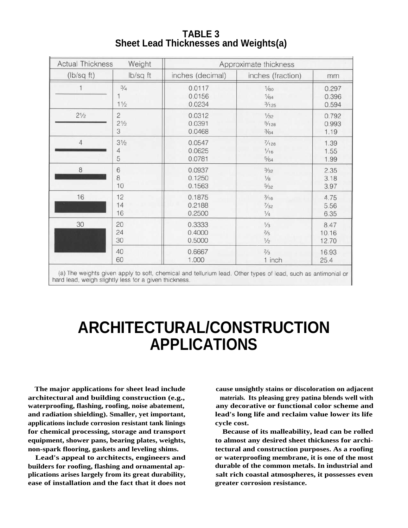| <b>TABLE 3</b>                               |  |
|----------------------------------------------|--|
| <b>Sheet Lead Thicknesses and Weights(a)</b> |  |

| <b>Actual Thickness</b><br>Weight |                                 | Approximate thickness      |                       |                         |  |
|-----------------------------------|---------------------------------|----------------------------|-----------------------|-------------------------|--|
| (lb/sq ft)                        | Ib/sq ft                        | inches (decimal)           | inches (fraction)     | mm                      |  |
|                                   | $\frac{3}{4}$<br>$1\frac{1}{2}$ | 0.0117<br>0.0156<br>0.0234 | 1/60<br>1/64<br>3/125 | 0.297<br>0.396<br>0.594 |  |
| $2\frac{1}{2}$                    | $\overline{c}$                  | 0.0312                     | 1/32                  | 0.792                   |  |
|                                   | $2\frac{1}{2}$                  | 0.0391                     | $\frac{5}{128}$       | 0.993                   |  |
|                                   | 3                               | 0.0468                     | $\frac{3}{64}$        | 1.19                    |  |
| $\overline{4}$                    | $3\frac{1}{2}$                  | 0.0547                     | $\frac{7}{128}$       | 1.39                    |  |
|                                   | 4                               | 0.0625                     | 1/16                  | 1.55                    |  |
|                                   | 5                               | 0.0781                     | $\frac{5}{64}$        | 1.99                    |  |
| $\,$ 8 $\,$                       | $\,$ 6                          | 0.0937                     | $\frac{3}{32}$        | 2.35                    |  |
|                                   | 8                               | 0.1250                     | $1/8$                 | 3.18                    |  |
|                                   | 10                              | 0.1563                     | $\frac{5}{32}$        | 3.97                    |  |
| 16                                | 12                              | 0.1875                     | $\frac{3}{16}$        | 4.75                    |  |
|                                   | 14                              | 0.2188                     | $\frac{7}{32}$        | 5.56                    |  |
|                                   | 16                              | 0.2500                     | $1/4$                 | 6.35                    |  |
| 30                                | 20                              | 0.3333                     | $1/3$                 | 8.47                    |  |
|                                   | 24                              | 0.4000                     | $\frac{2}{5}$         | 10.16                   |  |
|                                   | 30                              | 0.5000                     | $\frac{1}{2}$         | 12.70                   |  |
|                                   | 40                              | 0.6667                     | $\frac{2}{3}$         | 16.93                   |  |
|                                   | 60                              | 1.000                      | 1 inch                | 25.4                    |  |

(a) The weights given apply to soft, chemical and tellurium lead. Other types of lead, such as antimonial or hard lead, weigh slightly less for a given thickness.

# **ARCHITECTURAL/CONSTRUCTION APPLICATIONS**

**The major applications for sheet lead include architectural and building construction (e.g., waterproofing, flashing, roofing, noise abatement, and radiation shielding). Smaller, yet important, applications include corrosion resistant tank linings for chemical processing, storage and transport equipment, shower pans, bearing plates, weights, non-spark flooring, gaskets and leveling shims.**

**Lead's appeal to architects, engineers and builders for roofing, flashing and ornamental applications arises largely from its great durability, ease of installation and the fact that it does not**

**cause unsightly stains or discoloration on adjacent materials. Its pleasing grey patina blends well with any decorative or functional color scheme and lead's long life and reclaim value lower its life cycle cost.**

**Because of its malleability, lead can be rolled to almost any desired sheet thickness for architectural and construction purposes. As a roofing or waterproofing membrane, it is one of the most durable of the common metals. In industrial and salt rich coastal atmospheres, it possesses even greater corrosion resistance.**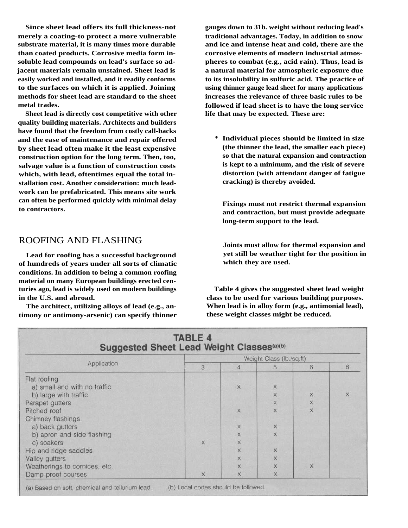**Since sheet lead offers its full thickness-not merely a coating-to protect a more vulnerable substrate material, it is many times more durable than coated products. Corrosive media form insoluble lead compounds on lead's surface so adjacent materials remain unstained. Sheet lead is easily worked and installed, and it readily conforms to the surfaces on which it is applied. Joining methods for sheet lead are standard to the sheet metal trades.**

**Sheet lead is directly cost competitive with other quality building materials. Architects and builders have found that the freedom from costly call-backs and the ease of maintenance and repair offered by sheet lead often make it the least expensive construction option for the long term. Then, too, salvage value is a function of construction costs which, with lead, oftentimes equal the total installation cost. Another consideration: much leadwork can be prefabricated. This means site work can often be performed quickly with minimal delay to contractors.**

### ROOFING AND FLASHING

**Lead for roofing has a successful background of hundreds of years under all sorts of climatic conditions. In addition to being a common roofing material on many European buildings erected centuries ago, lead is widely used on modern buildings in the U.S. and abroad.**

**The architect, utilizing alloys of lead (e.g., antimony or antimony-arsenic) can specify thinner**

**gauges down to 31b. weight without reducing lead's traditional advantages. Today, in addition to snow and ice and intense heat and cold, there are the corrosive elements of modern industrial atmospheres to combat (e.g., acid rain). Thus, lead is a natural material for atmospheric exposure due to its insolubility in sulfuric acid. The practice of using thinner gauge lead sheet for many applications increases the relevance of three basic rules to be followed if lead sheet is to have the long service life that may be expected. These are:**

\* **Individual pieces should be limited in size (the thinner the lead, the smaller each piece) so that the natural expansion and contraction is kept to a minimum, and the risk of severe distortion (with attendant danger of fatigue cracking) is thereby avoided.**

**Fixings must not restrict thermal expansion and contraction, but must provide adequate long-term support to the lead.**

**Joints must allow for thermal expansion and yet still be weather tight for the position in which they are used.**

**Table 4 gives the suggested sheet lead weight class to be used for various building purposes. When lead is in alloy form (e.g., antimonial lead), these weight classes might be reduced.**

|                               | Weight Class (lb./sq.ft) |                         |          |                                                                                       |   |
|-------------------------------|--------------------------|-------------------------|----------|---------------------------------------------------------------------------------------|---|
| Application                   | 3                        | 4                       | 5.       | 6                                                                                     | 8 |
| Flat roofing                  |                          |                         |          |                                                                                       |   |
| a) small and with no traffic  |                          | $\times$                | X        |                                                                                       |   |
| b) large with traffic         |                          |                         | X        | $\mathsf{X}% _{T}=\mathsf{X}_{T}\!\left( a,b\right) ,\ \mathsf{X}_{T}=\mathsf{X}_{T}$ | X |
| Parapet gutters               |                          |                         | X        | X                                                                                     |   |
| Pitched roof                  |                          | X                       | X        | X                                                                                     |   |
| Chimney flashings             |                          |                         |          |                                                                                       |   |
| a) back gutters               |                          | $\times$                | X        |                                                                                       |   |
| b) apron and side flashing    |                          | $\overline{\mathsf{x}}$ | X        |                                                                                       |   |
| c) soakers                    | $\times$                 | $\ddot{x}$              |          |                                                                                       |   |
| Hip and ridge saddles         |                          | X                       | X        |                                                                                       |   |
| Valley gutters                |                          | X                       | $\times$ |                                                                                       |   |
| Weatherings to cornices, etc. |                          | X.                      | ×        | X                                                                                     |   |
| Damp proof courses            | X                        | X                       | X        |                                                                                       |   |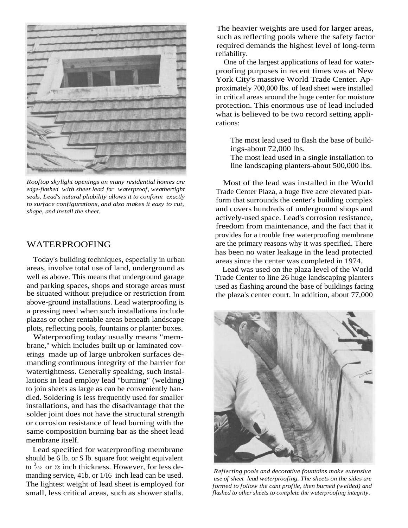

*Rooftop skylight openings on many residential homes are edge-flashed with sheet lead for waterproof, weathertight seals. Lead's natural pliability allows it to conform exactly to surface configurations, and also makes it easy to cut, shape, and install the sheet.*

### WATERPROOFING

Today's building techniques, especially in urban areas, involve total use of land, underground as well as above. This means that underground garage and parking spaces, shops and storage areas must be situated without prejudice or restriction from above-ground installations. Lead waterproofing is a pressing need when such installations include plazas or other rentable areas beneath landscape plots, reflecting pools, fountains or planter boxes.

Waterproofing today usually means "membrane," which includes built up or laminated coverings made up of large unbroken surfaces demanding continuous integrity of the barrier for watertightness. Generally speaking, such installations in lead employ lead "burning" (welding) to join sheets as large as can be conveniently handled. Soldering is less frequently used for smaller installations, and has the disadvantage that the solder joint does not have the structural strength or corrosion resistance of lead burning with the same composition burning bar as the sheet lead membrane itself.

Lead specified for waterproofing membrane should be 6 lb. or S lb. square foot weight equivalent to  $3/32$  or *'/s* inch thickness. However, for less demanding service, 41b. or 1/I6 inch lead can be used. The lightest weight of lead sheet is employed for small, less critical areas, such as shower stalls.

The heavier weights are used for larger areas, such as reflecting pools where the safety factor required demands the highest level of long-term reliability.

One of the largest applications of lead for waterproofing purposes in recent times was at New York City's massive World Trade Center. Approximately 700,000 lbs. of lead sheet were installed in critical areas around the huge center for moisture protection. This enormous use of lead included what is believed to be two record setting applications:

The most lead used to flash the base of buildings-about 72,000 lbs.

The most lead used in a single installation to line landscaping planters-about 500,000 lbs.

Most of the lead was installed in the World Trade Center Plaza, a huge five acre elevated platform that surrounds the center's building complex and covers hundreds of underground shops and actively-used space. Lead's corrosion resistance, freedom from maintenance, and the fact that it provides for a trouble free waterproofing membrane are the primary reasons why it was specified. There has been no water leakage in the lead protected areas since the center was completed in 1974.

Lead was used on the plaza level of the World Trade Center to line 26 huge landscaping planters used as flashing around the base of buildings facing the plaza's center court. In addition, about 77,000



*Reflecting pools and decorative fountains make extensive use of sheet lead waterproofing. The sheets on the sides are formed to follow the cant profile, then burned (welded) and flashed to other sheets to complete the waterproofing integrity.*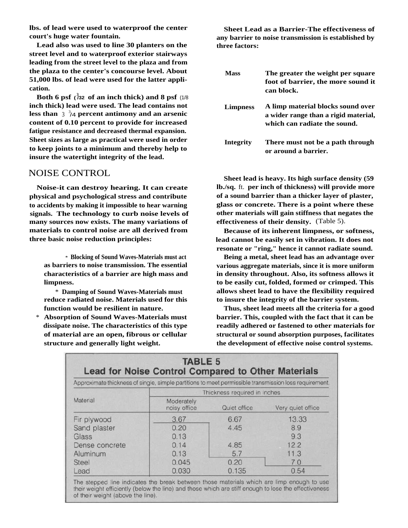**lbs. of lead were used to waterproof the center court's huge water fountain.**

**Lead also was used to line 30 planters on the street level and to waterproof exterior stairways leading from the street level to the plaza and from the plaza to the center's concourse level. About 51,000 lbs. of lead were used for the latter application.**

**Both 6 psf**  $(\sqrt[3]{32}$  of an inch thick) and 8 psf  $(1/8)$ **inch thick) lead were used. The lead contains not less than** <sup>3</sup> 3 /4 **percent antimony and an arsenic content of 0.10 percent to provide for increased fatigue resistance and decreased thermal expansion. Sheet sizes as large as practical were used in order to keep joints to a minimum and thereby help to insure the watertight integrity of the lead.**

### NOISE CONTROL

**Noise-it can destroy hearing. It can create physical and psychological stress and contribute to accidents by making it impossible to hear warning signals. The technology to curb noise levels of many sources now exists. The many variations of materials to control noise are all derived from three basic noise reduction principles:**

\* **Blocking of Sound Waves-Materials must act as barriers to noise transmission. The essential characteristics of a barrier are high mass and limpness.**

\* **Damping of Sound Waves-Materials must reduce radiated noise. Materials used for this function would be resilient in nature.**

\* **Absorption of Sound Waves-Materials must dissipate noise. The characteristics of this type of material are an open, fibrous or cellular structure and generally light weight.**

**Sheet Lead as a Barrier-The effectiveness of any barrier to noise transmission is established by three factors:**

| Mass            | The greater the weight per square<br>foot of barrier, the more sound it<br>can block.                     |
|-----------------|-----------------------------------------------------------------------------------------------------------|
| <b>Limpness</b> | A limp material blocks sound over<br>a wider range than a rigid material,<br>which can radiate the sound. |
| Integrity       | There must not be a path through<br>or around a barrier.                                                  |

**Sheet lead is heavy. Its high surface density (59 lb./sq.** ft. **per inch of thickness) will provide more of a sound barrier than a thicker layer of plaster, glass or concrete. There is a point where these other materials will gain stiffness that negates the effectiveness of their density.** (Table 5).

**Because of its inherent limpness, or softness, lead cannot be easily set in vibration. It does not resonate or "ring," hence it cannot radiate sound.**

**Being a metal, sheet lead has an advantage over various aggregate materials, since it is more uniform in density throughout. Also, its softness allows it to be easily cut, folded, formed or crimped. This allows sheet lead to have the flexibility required to insure the integrity of the barrier system.**

**Thus, sheet lead meets all the criteria for a good barrier. This, coupled with the fact that it can be readily adhered or fastened to other materials for structural or sound absorption purposes, facilitates the development of effective noise control systems.**

| Approximate thickness of single, simple partitions to meet permissible transmission loss requirement. |                            |                              |                   |
|-------------------------------------------------------------------------------------------------------|----------------------------|------------------------------|-------------------|
|                                                                                                       |                            | Thickness required in inches |                   |
| Material                                                                                              | Moderately<br>noisy office | Quiet office                 | Very quiet office |
| Fir plywood                                                                                           | 3.67                       | 6.67                         | 13.33             |
| Sand plaster                                                                                          | 0.20                       | 4.45                         | 8.9               |
| Glass                                                                                                 | 0.13                       |                              | 9.3               |
| Dense concrete                                                                                        | 0.14                       | 4.85                         | 12.2              |
| Aluminum                                                                                              | 0.13                       | 5.7                          | 11.3              |
| <b>Steel</b>                                                                                          | 0.045                      | 0.20                         | 7.0               |
| Lead                                                                                                  | 0.030                      | 0.135                        | 0.54              |

of their weight (above the line)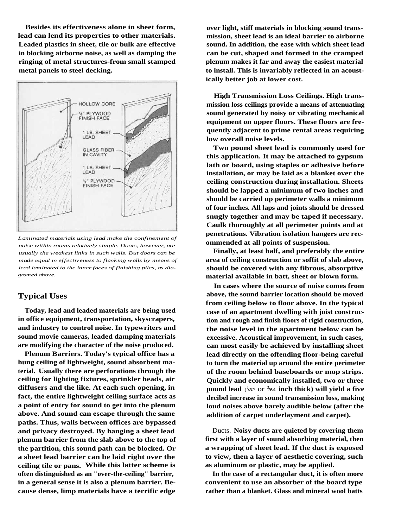**Besides its effectiveness alone in sheet form, lead can lend its properties to other materials. Leaded plastics in sheet, tile or bulk are effective in blocking airborne noise, as well as damping the ringing of metal structures-from small stamped metal panels to steel decking.**



*Laminated materials using lead make the confinement of noise within rooms relatively simple. Doors, however, are usually the weakest links in such walls. But doors can be made equal in effectiveness to flanking walls by means of lead laminated to the inner faces of finishing piles, as diagramed above.*

### **Typical Uses**

**Today, lead and leaded materials are being used in office equipment, transportation, skyscrapers, and industry to control noise. In typewriters and sound movie cameras, leaded damping materials are modifying the character of the noise produced.**

**Plenum Barriers. Today's typical office has a hung ceiling of lightweight, sound absorbent material. Usually there are perforations through the ceiling for lighting fixtures, sprinkler heads, air diffusers and the like. At each such opening, in fact, the entire lightweight ceiling surface acts as a point of entry for sound to get into the plenum above. And sound can escape through the same paths. Thus, walls between offices are bypassed and privacy destroyed. By hanging a sheet lead plenum barrier from the slab above to the top of the partition, this sound path can be blocked. Or a sheet lead barrier can be laid right over the ceiling tile or pans. While this latter scheme is often distinguished as an "over-the-ceiling" barrier, in a general sense it is also a plenum barrier. Because dense, limp materials have a terrific edge**

**over light, stiff materials in blocking sound transmission, sheet lead is an ideal barrier to airborne sound. In addition, the ease with which sheet lead can be cut, shaped and formed in the cramped plenum makes it far and away the easiest material to install. This is invariably reflected in an acoustically better job at lower cost.**

**High Transmission Loss Ceilings. High transmission loss ceilings provide a means of attenuating sound generated by noisy or vibrating mechanical equipment on upper floors. These floors are frequently adjacent to prime rental areas requiring low overall noise levels.**

**Two pound sheet lead is commonly used for this application. It may be attached to gypsum lath or board, using staples or adhesive before installation, or may be laid as a blanket over the ceiling construction during installation. Sheets should be lapped a minimum of two inches and should be carried up perimeter walls a minimum of four inches. All laps and joints should be dressed snugly together and may be taped if necessary. Caulk thoroughly at all perimeter points and at penetrations. Vibration isolation hangers are recommended at all points of suspension.**

**Finally, at least half, and preferably the entire area of ceiling construction or soffit of slab above, should be covered with any fibrous, absorptive material available in batt, sheet or blown form.**

**In cases where the source of noise comes from above, the sound barrier location should be moved from ceiling below to floor above. In the typical case of an apartment dwelling with joist construction and rough and finish floors of rigid construction, the noise level in the apartment below can be excessive. Acoustical improvement, in such cases, can most easily be achieved by installing sheet lead directly on the offending floor-being careful to turn the material up around the entire perimeter of the room behind baseboards or mop strips. Quickly and economically installed, two or three pound lead**  $\langle \partial u \rangle^2 \gg$  or  $\partial u \rangle^2 \gg$  **inch thick) will yield a five decibel increase in sound transmission loss, making loud noises above barely audible below (after the addition of carpet underlayment and carpet).**

Ducts. **Noisy ducts are quieted by covering them first with a layer of sound absorbing material, then a wrapping of sheet lead. If the duct is exposed to view, then a layer of aesthetic covering, such as aluminum or plastic, may be applied.**

**In the case of a rectangular duct, it is often more convenient to use an absorber of the board type rather than a blanket. Glass and mineral wool batts**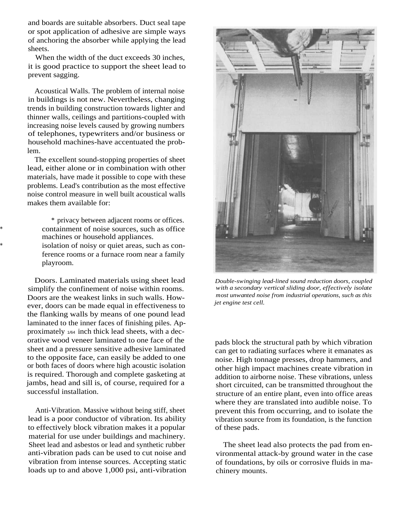and boards are suitable absorbers. Duct seal tape or spot application of adhesive are simple ways of anchoring the absorber while applying the lead sheets.

When the width of the duct exceeds 30 inches, it is good practice to support the sheet lead to prevent sagging.

Acoustical Walls. The problem of internal noise in buildings is not new. Nevertheless, changing trends in building construction towards lighter and thinner walls, ceilings and partitions-coupled with increasing noise levels caused by growing numbers of telephones, typewriters and/or business or household machines-have accentuated the problem.

The excellent sound-stopping properties of sheet lead, either alone or in combination with other materials, have made it possible to cope with these problems. Lead's contribution as the most effective noise control measure in well built acoustical walls makes them available for:

\* privacy between adjacent rooms or offices. containment of noise sources, such as office machines or household appliances. isolation of noisy or quiet areas, such as con-

ference rooms or a furnace room near a family playroom.

Doors. Laminated materials using sheet lead simplify the confinement of noise within rooms. Doors are the weakest links in such walls. However, doors can be made equal in effectiveness to the flanking walls by means of one pound lead laminated to the inner faces of finishing piles. Approximately 1/64 inch thick lead sheets, with a decorative wood veneer laminated to one face of the sheet and a pressure sensitive adhesive laminated to the opposite face, can easily be added to one or both faces of doors where high acoustic isolation is required. Thorough and complete gasketing at jambs, head and sill is, of course, required for a successful installation.

Anti-Vibration. Massive without being stiff, sheet lead is a poor conductor of vibration. Its ability to effectively block vibration makes it a popular material for use under buildings and machinery. Sheet lead and asbestos or lead and synthetic rubber anti-vibration pads can be used to cut noise and vibration from intense sources. Accepting static loads up to and above 1,000 psi, anti-vibration



*Double-swinging lead-lined sound reduction doors, coupled with a secondary vertical sliding door, effectively isolate most unwanted noise from industrial operations, such as this jet engine test cell.*

pads block the structural path by which vibration can get to radiating surfaces where it emanates as noise. High tonnage presses, drop hammers, and other high impact machines create vibration in addition to airborne noise. These vibrations, unless short circuited, can be transmitted throughout the structure of an entire plant, even into office areas where they are translated into audible noise. To prevent this from occurring, and to isolate the vibration source from its foundation, is the function of these pads.

The sheet lead also protects the pad from environmental attack-by ground water in the case of foundations, by oils or corrosive fluids in machinery mounts.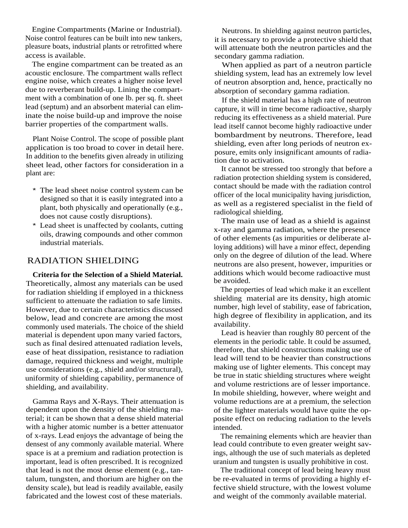Engine Compartments (Marine or Industrial). Noise control features can be built into new tankers, pleasure boats, industrial plants or retrofitted where access is available.

The engine compartment can be treated as an acoustic enclosure. The compartment walls reflect engine noise, which creates a higher noise level due to reverberant build-up. Lining the compartment with a combination of one lb. per sq. ft. sheet lead (septum) and an absorbent material can eliminate the noise build-up and improve the noise barrier properties of the compartment walls.

Plant Noise Control. The scope of possible plant application is too broad to cover in detail here. In addition to the benefits given already in utilizing sheet lead, other factors for consideration in a plant are:

- \* The lead sheet noise control system can be designed so that it is easily integrated into a plant, both physically and operationally (e.g., does not cause costly disruptions).
- Lead sheet is unaffected by coolants, cutting oils, drawing compounds and other common industrial materials.

### RADIATION SHIELDING

**Criteria for the Selection of a Shield Material.** Theoretically, almost any materials can be used for radiation shielding if employed in a thickness sufficient to attenuate the radiation to safe limits. However, due to certain characteristics discussed below, lead and concrete are among the most commonly used materials. The choice of the shield material is dependent upon many varied factors, such as final desired attenuated radiation levels, ease of heat dissipation, resistance to radiation damage, required thickness and weight, multiple use considerations (e.g., shield and/or structural), uniformity of shielding capability, permanence of shielding, and availability.

Gamma Rays and X-Rays. Their attenuation is dependent upon the density of the shielding material; it can be shown that a dense shield material with a higher atomic number is a better attenuator of x-rays. Lead enjoys the advantage of being the densest of any commonly available material. Where space is at a premium and radiation protection is important, lead is often prescribed. It is recognized that lead is not the most dense element (e.g., tantalum, tungsten, and thorium are higher on the density scale), but lead is readily available, easily fabricated and the lowest cost of these materials.

Neutrons. In shielding against neutron particles, it is necessary to provide a protective shield that will attenuate both the neutron particles and the secondary gamma radiation.

When applied as part of a neutron particle shielding system, lead has an extremely low level of neutron absorption and, hence, practically no absorption of secondary gamma radiation.

If the shield material has a high rate of neutron capture, it will in time become radioactive, sharply reducing its effectiveness as a shield material. Pure lead itself cannot become highly radioactive under bombardment by neutrons. Therefore, lead shielding, even after long periods of neutron exposure, emits only insignificant amounts of radiation due to activation.

It cannot be stressed too strongly that before a radiation protection shielding system is considered, contact should be made with the radiation control officer of the local municipality having jurisdiction, as well as a registered specialist in the field of radiological shielding.

The main use of lead as a shield is against x-ray and gamma radiation, where the presence of other elements (as impurities or deliberate alloying additions) will have a minor effect, depending only on the degree of dilution of the lead. Where neutrons are also present, however, impurities or additions which would become radioactive must be avoided.

The properties of lead which make it an excellent shielding material are its density, high atomic number, high level of stability, ease of fabrication, high degree of flexibility in application, and its availability.

Lead is heavier than roughly 80 percent of the elements in the periodic table. It could be assumed, therefore, that shield constructions making use of lead will tend to be heavier than constructions making use of lighter elements. This concept may be true in static shielding structures where weight and volume restrictions are of lesser importance. In mobile shielding, however, where weight and volume reductions are at a premium, the selection of the lighter materials would have quite the opposite effect on reducing radiation to the levels intended.

The remaining elements which are heavier than lead could contribute to even greater weight savings, although the use of such materials as depleted uranium and tungsten is usually prohibitive in cost.

The traditional concept of lead being heavy must be re-evaluated in terms of providing a highly effective shield structure, with the lowest volume and weight of the commonly available material.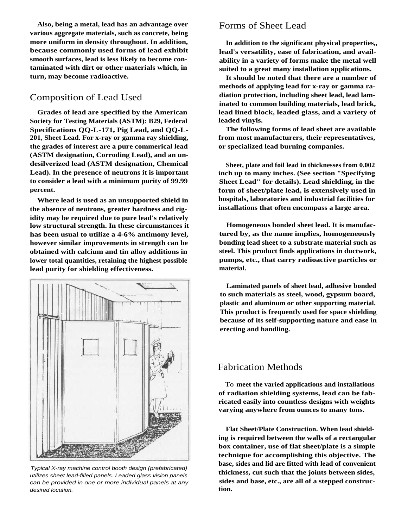**Also, being a metal, lead has an advantage over various aggregate materials, such as concrete, being more uniform in density throughout. In addition, because commonly used forms of lead exhibit smooth surfaces, lead is less likely to become contaminated with dirt or other materials which, in turn, may become radioactive.**

### Composition of Lead Used

**Grades of lead are specified by the American Society for Testing Materials (ASTM): B29, Federal Specifications QQ-L-171, Pig Lead, and QQ-L-201, Sheet Lead. For x-ray or gamma ray shielding, the grades of interest are a pure commerical lead (ASTM designation, Corroding Lead), and an undesilverized lead (ASTM designation, Chemical Lead). In the presence of neutrons it is important to consider a lead with a minimum purity of 99.99 percent.**

**Where lead is used as an unsupported shield in the absence of neutrons, greater hardness and rigidity may be required due to pure lead's relatively low structural strength. In these circumstances it has been usual to utilize a 4-6% antimony level, however similar improvements in strength can be obtained with calcium and tin alloy additions in lower total quantities, retaining the highest possible lead purity for shielding effectiveness.**



Typical X-ray machine control booth design (prefabricated) utilizes sheet lead-filled panels. Leaded glass vision panels can be provided in one or more individual panels at any desired location.

### Forms of Sheet Lead

**In addition to the significant physical properties,, lead's versatility, ease of fabrication, and availability in a variety of forms make the metal well suited to a great many installation applications.**

**It should be noted that there are a number of methods of applying lead for x-ray or gamma radiation protection, including sheet lead, lead laminated to common building materials, lead brick, lead lined block, leaded glass, and a variety of leaded vinyls.**

**The following forms of lead sheet are available from most manufacturers, their representatives, or specialized lead burning companies.**

**Sheet, plate and foil lead in thicknesses from 0.002 inch up to many inches. (See section "Specifying Sheet Lead" for details). Lead shielding, in the form of sheet/plate lead, is extensively used in hospitals, laboratories and industrial facilities for installations that often encompass a large area.**

**Homogeneous bonded sheet lead. It is manufactured by, as the name implies, homogeneously bonding lead sheet to a substrate material such as steel. This product finds applications in ductwork, pumps, etc., that carry radioactive particles or material.**

**Laminated panels of sheet lead, adhesive bonded to such materials as steel, wood, gypsum board, plastic and aluminum or other supporting material. This product is frequently used for space shielding because of its self-supporting nature and ease in erecting and handling.**

### Fabrication Methods

To **meet the varied applications and installations of radiation shielding systems, lead can be fabricated easily into countless designs with weights varying anywhere from ounces to many tons.**

**Flat Sheet/Plate Construction. When lead shielding is required between the walls of a rectangular box container, use of flat sheet/plate is a simple technique for accomplishing this objective. The base, sides and lid are fitted with lead of convenient thickness, cut such that the joints between sides, sides and base, etc., are all of a stepped construction.**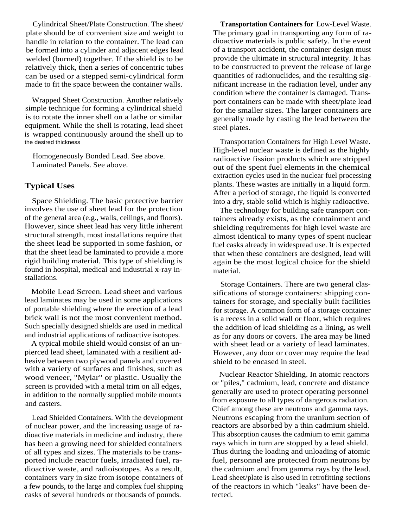Cylindrical Sheet/Plate Construction. The sheet/ plate should be of convenient size and weight to handle in relation to the container. The lead can be formed into a cylinder and adjacent edges lead welded (burned) together. If the shield is to be relatively thick, then a series of concentric tubes can be used or a stepped semi-cylindrical form made to fit the space between the container walls.

Wrapped Sheet Construction. Another relatively simple technique for forming a cylindrical shield is to rotate the inner shell on a lathe or similar equipment. While the shell is rotating, lead sheet is wrapped continuously around the shell up to the desired thickness

Homogeneously Bonded Lead. See above. Laminated Panels. See above.

### **Typical Uses**

Space Shielding. The basic protective barrier involves the use of sheet lead for the protection of the general area (e.g., walls, ceilings, and floors). However, since sheet lead has very little inherent structural strength, most installations require that the sheet lead be supported in some fashion, or that the sheet lead be laminated to provide a more rigid building material. This type of shielding is found in hospital, medical and industrial x-ray installations.

Mobile Lead Screen. Lead sheet and various lead laminates may be used in some applications of portable shielding where the erection of a lead brick wall is not the most convenient method. Such specially designed shields are used in medical and industrial applications of radioactive isotopes.

A typical mobile shield would consist of an unpierced lead sheet, laminated with a resilient adhesive between two plywood panels and covered with a variety of surfaces and finishes, such as wood veneer, "Mylar" or plastic. Usually the screen is provided with a metal trim on all edges, in addition to the normally supplied mobile mounts and casters.

Lead Shielded Containers. With the development of nuclear power, and the 'increasing usage of radioactive materials in medicine and industry, there has been a growing need for shielded containers of all types and sizes. The materials to be transported include reactor fuels, irradiated fuel, radioactive waste, and radioisotopes. As a result, containers vary in size from isotope containers of a few pounds, to the large and complex fuel shipping casks of several hundreds or thousands of pounds.

**Transportation Containers for** Low-Level Waste. The primary goal in transporting any form of radioactive materials is public safety. In the event of a transport accident, the container design must provide the ultimate in structural integrity. It has to be constructed to prevent the release of large quantities of radionuclides, and the resulting significant increase in the radiation level, under any condition where the container is damaged. Transport containers can be made with sheet/plate lead for the smaller sizes. The larger containers are generally made by casting the lead between the steel plates.

Transportation Containers for High Level Waste. High-level nuclear waste is defined as the highly radioactive fission products which are stripped out of the spent fuel elements in the chemical extraction cycles used in the nuclear fuel processing plants. These wastes are initially in a liquid form. After a period of storage, the liquid is converted into a dry, stable solid which is highly radioactive.

The technology for building safe transport containers already exists, as the containment and shielding requirements for high level waste are almost identical to many types of spent nuclear fuel casks already in widespread use. It is expected that when these containers are designed, lead will again be the most logical choice for the shield material.

Storage Containers. There are two general classifications of storage containers: shipping containers for storage, and specially built facilities for storage. A common form of a storage container is a recess in a solid wall or floor, which requires the addition of lead shielding as a lining, as well as for any doors or covers. The area may be lined with sheet lead or a variety of lead laminates. However, any door or cover may require the lead shield to be encased in steel.

Nuclear Reactor Shielding. In atomic reactors or "piles," cadmium, lead, concrete and distance generally are used to protect operating personnel from exposure to all types of dangerous radiation. Chief among these are neutrons and gamma rays. Neutrons escaping from the uranium section of reactors are absorbed by a thin cadmium shield. This absorption causes the cadmium to emit gamma rays which in turn are stopped by a lead shield. Thus during the loading and unloading of atomic fuel, personnel are protected from neutrons by the cadmium and from gamma rays by the lead. Lead sheet/plate is also used in retrofitting sections of the reactors in which "leaks" have been detected.